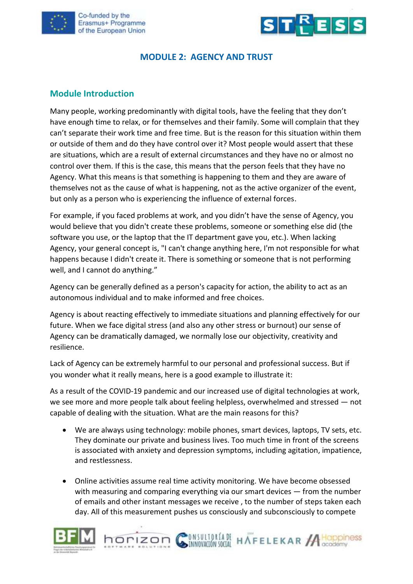



### **MODULE 2: AGENCY AND TRUST**

### **Module Introduction**

Many people, working predominantly with digital tools, have the feeling that they don't have enough time to relax, or for themselves and their family. Some will complain that they can't separate their work time and free time. But is the reason for this situation within them or outside of them and do they have control over it? Most people would assert that these are situations, which are a result of external circumstances and they have no or almost no control over them. If this is the case, this means that the person feels that they have no Agency. What this means is that something is happening to them and they are aware of themselves not as the cause of what is happening, not as the active organizer of the event, but only as a person who is experiencing the influence of external forces.

For example, if you faced problems at work, and you didn't have the sense of Agency, you would believe that you didn't create these problems, someone or something else did (the software you use, or the laptop that the IT department gave you, etc.). When lacking Agency, your general concept is, "I can't change anything here, I'm not responsible for what happens because I didn't create it. There is something or someone that is not performing well, and I cannot do anything."

Agency can be generally defined as a person's capacity for action, the ability to act as an autonomous individual and to make informed and free choices.

Agency is about reacting effectively to immediate situations and planning effectively for our future. When we face digital stress (and also any other stress or burnout) our sense of Agency can be dramatically damaged, we normally lose our objectivity, creativity and resilience.

Lack of Agency can be extremely harmful to our personal and professional success. But if you wonder what it really means, here is a good example to illustrate it:

As a result of the COVID-19 pandemic and our increased use of digital technologies at work, we see more and more people talk about feeling helpless, overwhelmed and stressed — not capable of dealing with the situation. What are the main reasons for this?

- We are always using technology: mobile phones, smart devices, laptops, TV sets, etc. They dominate our private and business lives. Too much time in front of the screens is associated with anxiety and depression symptoms, including agitation, impatience, and restlessness.
- Online activities assume real time activity monitoring. We have become obsessed with measuring and comparing everything via our smart devices — from the number of emails and other instant messages we receive , to the number of steps taken each day. All of this measurement pushes us consciously and subconsciously to compete



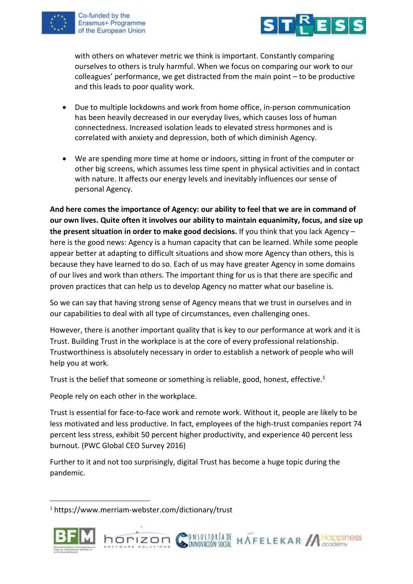



with others on whatever metric we think is important. Constantly comparing ourselves to others is truly harmful. When we focus on comparing our work to our colleagues' performance, we get distracted from the main point – to be productive and this leads to poor quality work.

- Due to multiple lockdowns and work from home office, in-person communication has been heavily decreased in our everyday lives, which causes loss of human connectedness. Increased isolation leads to elevated stress hormones and is correlated with anxiety and depression, both of which diminish Agency.
- We are spending more time at home or indoors, sitting in front of the computer or other big screens, which assumes less time spent in physical activities and in contact with nature. It affects our energy levels and inevitably influences our sense of personal Agency.

**And here comes the importance of Agency: our ability to feel that we are in command of our own lives. Quite often it involves our ability to maintain equanimity, focus, and size up the present situation in order to make good decisions.** If you think that you lack Agency – here is the good news: Agency is a human capacity that can be learned. While some people appear better at adapting to difficult situations and show more Agency than others, this is because they have learned to do so. Each of us may have greater Agency in some domains of our lives and work than others. The important thing for us is that there are specific and proven practices that can help us to develop Agency no matter what our baseline is.

So we can say that having strong sense of Agency means that we trust in ourselves and in our capabilities to deal with all type of circumstances, even challenging ones.

However, there is another important quality that is key to our performance at work and it is Trust. Building Trust in the workplace is at the core of every professional relationship. Trustworthiness is absolutely necessary in order to establish a network of people who will help you at work.

Trust is the belief that someone or something is reliable, good, honest, effective.<sup>1</sup>

People rely on each other in the workplace.

Trust is essential for face-to-face work and remote work. Without it, people are likely to be less motivated and less productive. In fact, employees of the high-trust companies report 74 percent less stress, exhibit 50 percent higher productivity, and experience 40 percent less burnout. (PWC Global CEO Survey 2016)

Further to it and not too surprisingly, digital Trust has become a huge topic during the pandemic.

<sup>1</sup> https://www.merriam-webster.com/dictionary/trust



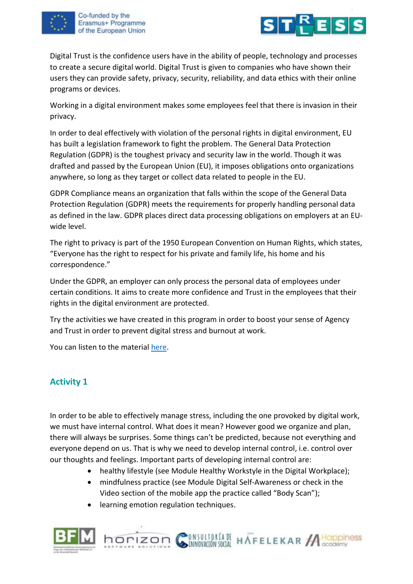



Digital Trust is the confidence users have in the ability of people, technology and processes to create a secure digital world. Digital Trust is given to companies who have shown their users they can provide safety, privacy, security, reliability, and data ethics with their online programs or devices.

Working in a digital environment makes some employees feel that there is invasion in their privacy.

In order to deal effectively with violation of the personal rights in digital environment, EU has built a legislation framework to fight the problem. The General Data Protection Regulation (GDPR) is the toughest privacy and security law in the world. Though it was drafted and passed by the European Union (EU), it imposes obligations onto organizations anywhere, so long as they target or collect data related to people in the EU.

GDPR Compliance means an organization that falls within the scope of the General Data Protection Regulation (GDPR) meets the requirements for properly handling personal data as defined in the law. GDPR places direct data processing obligations on employers at an EUwide level.

The right to privacy is part of the 1950 European Convention on Human Rights, which states, "Everyone has the right to respect for his private and family life, his home and his correspondence."

Under the GDPR, an employer can only process the personal data of employees under certain conditions. It aims to create more confidence and Trust in the employees that their rights in the digital environment are protected.

Try the activities we have created in this program in order to boost your sense of Agency and Trust in order to prevent digital stress and burnout at work.

You can listen to the material [here.](https://youtu.be/RIZa_1Gs6fQ)

## **Activity 1**

In order to be able to effectively manage stress, including the one provoked by digital work, we must have internal control. What does it mean? However good we organize and plan, there will always be surprises. Some things can't be predicted, because not everything and everyone depend on us. That is why we need to develop internal control, i.e. control over our thoughts and feelings. Important parts of developing internal control are:

• healthy lifestyle (see Module Healthy Workstyle in the Digital Workplace);

INVESTIGATE HAFFELEKAR ACODOMISS

- mindfulness practice (see Module Digital Self-Awareness or check in the Video section of the mobile app the practice called "Body Scan");
- learning emotion regulation techniques.

horizon G

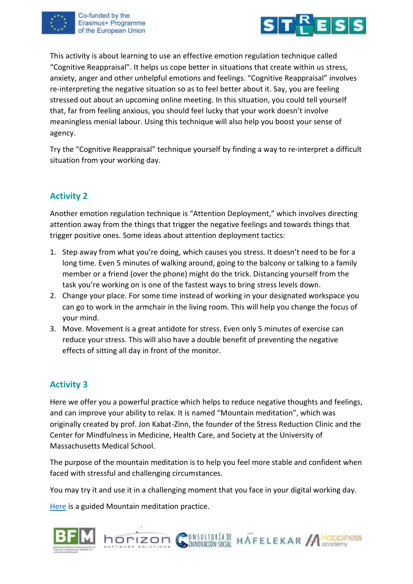



This activity is about learning to use an effective emotion regulation technique called "Cognitive Reappraisal". It helps us cope better in situations that create within us stress, anxiety, anger and other unhelpful emotions and feelings. "Cognitive Reappraisal" involves re-interpreting the negative situation so as to feel better about it. Say, you are feeling stressed out about an upcoming online meeting. In this situation, you could tell yourself that, far from feeling anxious, you should feel lucky that your work doesn't involve meaningless menial labour. Using this technique will also help you boost your sense of agency.

Try the "Cognitive Reappraisal" technique yourself by finding a way to re-interpret a difficult situation from your working day.

# **Activity 2**

Another emotion regulation technique is "Attention Deployment," which involves directing attention away from the things that trigger the negative feelings and towards things that trigger positive ones. Some ideas about attention deployment tactics:

- 1. Step away from what you're doing, which causes you stress. It doesn't need to be for a long time. Even 5 minutes of walking around, going to the balcony or talking to a family member or a friend (over the phone) might do the trick. Distancing yourself from the task you're working on is one of the fastest ways to bring stress levels down.
- 2. Change your place. For some time instead of working in your designated workspace you can go to work in the armchair in the living room. This will help you change the focus of your mind.
- 3. Move. Movement is a great antidote for stress. Even only 5 minutes of exercise can reduce your stress. This will also have a double benefit of preventing the negative effects of sitting all day in front of the monitor.

## **Activity 3**

Here we offer you a powerful practice which helps to reduce negative thoughts and feelings, and can improve your ability to relax. It is named "Mountain meditation", which was originally created by prof. Jon Kabat-Zinn, the founder of the Stress Reduction Clinic and the Center for Mindfulness in Medicine, Health Care, and Society at the University of Massachusetts Medical School.

The purpose of the mountain meditation is to help you feel more stable and confident when faced with stressful and challenging circumstances.

You may try it and use it in a challenging moment that you face in your digital working day.

[Here](https://youtu.be/bHmCSwMWb4o) is a guided Mountain meditation practice.

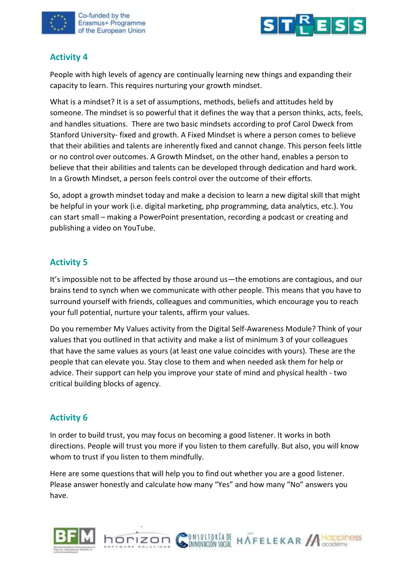



### **Activity 4**

People with high levels of agency are continually learning new things and expanding their capacity to learn. This requires nurturing your growth mindset.

What is a mindset? It is a set of assumptions, methods, beliefs and attitudes held by someone. The mindset is so powerful that it defines the way that a person thinks, acts, feels, and handles situations. There are two basic mindsets according to prof Carol Dweck from Stanford University- fixed and growth. A Fixed Mindset is where a person comes to believe that their abilities and talents are inherently fixed and cannot change. This person feels little or no control over outcomes. A Growth Mindset, on the other hand, enables a person to believe that their abilities and talents can be developed through dedication and hard work. In a Growth Mindset, a person feels control over the outcome of their efforts.

So, adopt a growth mindset today and make a decision to learn a new digital skill that might be helpful in your work (i.e. digital marketing, php programming, data analytics, etc.). You can start small – making a PowerPoint presentation, recording a podcast or creating and publishing a video on YouTube.

### **Activity 5**

It's impossible not to be affected by those around us—the emotions are contagious, and our brains tend to synch when we communicate with other people. This means that you have to surround yourself with friends, colleagues and communities, which encourage you to reach your full potential, nurture your talents, affirm your values.

Do you remember My Values activity from the Digital Self-Awareness Module? Think of your values that you outlined in that activity and make a list of minimum 3 of your colleagues that have the same values as yours (at least one value coincides with yours). These are the people that can elevate you. Stay close to them and when needed ask them for help or advice. Their support can help you improve your state of mind and physical health - two critical building blocks of agency.

### **Activity 6**

In order to build trust, you may focus on becoming a good listener. It works in both directions. People will trust you more if you listen to them carefully. But also, you will know whom to trust if you listen to them mindfully.

Here are some questions that will help you to find out whether you are a good listener. Please answer honestly and calculate how many "Yes" and how many "No" answers you have.

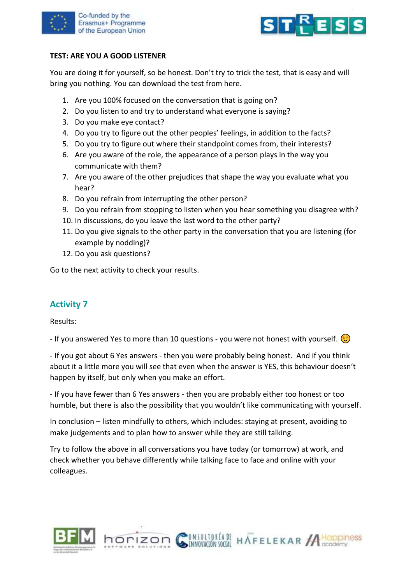



#### **TEST: ARE YOU A GOOD LISTENER**

You are doing it for yourself, so be honest. Don't try to trick the test, that is easy and will bring you nothing. You can download the test from here.

- 1. Are you 100% focused on the conversation that is going on?
- 2. Do you listen to and try to understand what everyone is saying?
- 3. Do you make eye contact?
- 4. Do you try to figure out the other peoples' feelings, in addition to the facts?
- 5. Do you try to figure out where their standpoint comes from, their interests?
- 6. Are you aware of the role, the appearance of a person plays in the way you communicate with them?
- 7. Are you aware of the other prejudices that shape the way you evaluate what you hear?
- 8. Do you refrain from interrupting the other person?
- 9. Do you refrain from stopping to listen when you hear something you disagree with?
- 10. In discussions, do you leave the last word to the other party?
- 11. Do you give signals to the other party in the conversation that you are listening (for example by nodding)?
- 12. Do you ask questions?

Go to the next activity to check your results.

### **Activity 7**

Results:

- If you answered Yes to more than 10 questions - you were not honest with yourself.  $\odot$ 

- If you got about 6 Yes answers - then you were probably being honest. And if you think about it a little more you will see that even when the answer is YES, this behaviour doesn't happen by itself, but only when you make an effort.

- If you have fewer than 6 Yes answers - then you are probably either too honest or too humble, but there is also the possibility that you wouldn't like communicating with yourself.

In conclusion – listen mindfully to others, which includes: staying at present, avoiding to make judgements and to plan how to answer while they are still talking.

Try to follow the above in all conversations you have today (or tomorrow) at work, and check whether you behave differently while talking face to face and online with your colleagues.

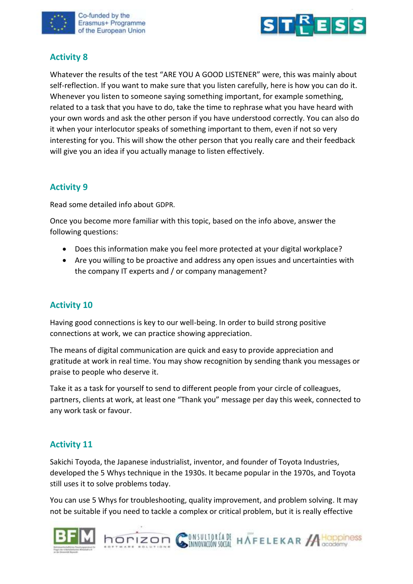



## **Activity 8**

Whatever the results of the test "ARE YOU A GOOD LISTENER" were, this was mainly about self-reflection. If you want to make sure that you listen carefully, here is how you can do it. Whenever you listen to someone saying something important, for example something, related to a task that you have to do, take the time to rephrase what you have heard with your own words and ask the other person if you have understood correctly. You can also do it when your interlocutor speaks of something important to them, even if not so very interesting for you. This will show the other person that you really care and their feedback will give you an idea if you actually manage to listen effectively.

## **Activity 9**

Read some detailed info about GDPR.

Once you become more familiar with this topic, based on the info above, answer the following questions:

- Does this information make you feel more protected at your digital workplace?
- Are you willing to be proactive and address any open issues and uncertainties with the company IT experts and / or company management?

### **Activity 10**

Having good connections is key to our well-being. In order to build strong positive connections at work, we can practice showing appreciation.

The means of digital communication are quick and easy to provide appreciation and gratitude at work in real time. You may show recognition by sending thank you messages or praise to people who deserve it.

Take it as a task for yourself to send to different people from your circle of colleagues, partners, clients at work, at least one "Thank you" message per day this week, connected to any work task or favour.

## **Activity 11**

Sakichi Toyoda, the Japanese industrialist, inventor, and founder of Toyota Industries, developed the 5 Whys technique in the 1930s. It became popular in the 1970s, and Toyota still uses it to solve problems today.

You can use 5 Whys for troubleshooting, quality improvement, and problem solving. It may not be suitable if you need to tackle a complex or critical problem, but it is really effective